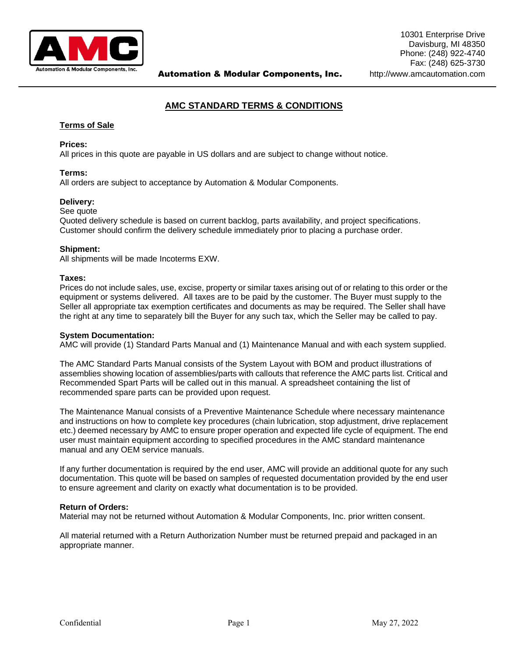

# **AMC STANDARD TERMS & CONDITIONS**

# **Terms of Sale**

# **Prices:**

All prices in this quote are payable in US dollars and are subject to change without notice.

# **Terms:**

All orders are subject to acceptance by Automation & Modular Components.

### **Delivery:**

### See quote

Quoted delivery schedule is based on current backlog, parts availability, and project specifications. Customer should confirm the delivery schedule immediately prior to placing a purchase order.

### **Shipment:**

All shipments will be made Incoterms EXW.

### **Taxes:**

Prices do not include sales, use, excise, property or similar taxes arising out of or relating to this order or the equipment or systems delivered. All taxes are to be paid by the customer. The Buyer must supply to the Seller all appropriate tax exemption certificates and documents as may be required. The Seller shall have the right at any time to separately bill the Buyer for any such tax, which the Seller may be called to pay.

# **System Documentation:**

AMC will provide (1) Standard Parts Manual and (1) Maintenance Manual and with each system supplied.

The AMC Standard Parts Manual consists of the System Layout with BOM and product illustrations of assemblies showing location of assemblies/parts with callouts that reference the AMC parts list. Critical and Recommended Spart Parts will be called out in this manual. A spreadsheet containing the list of recommended spare parts can be provided upon request.

The Maintenance Manual consists of a Preventive Maintenance Schedule where necessary maintenance and instructions on how to complete key procedures (chain lubrication, stop adjustment, drive replacement etc.) deemed necessary by AMC to ensure proper operation and expected life cycle of equipment. The end user must maintain equipment according to specified procedures in the AMC standard maintenance manual and any OEM service manuals.

If any further documentation is required by the end user, AMC will provide an additional quote for any such documentation. This quote will be based on samples of requested documentation provided by the end user to ensure agreement and clarity on exactly what documentation is to be provided.

# **Return of Orders:**

Material may not be returned without Automation & Modular Components, Inc. prior written consent.

All material returned with a Return Authorization Number must be returned prepaid and packaged in an appropriate manner.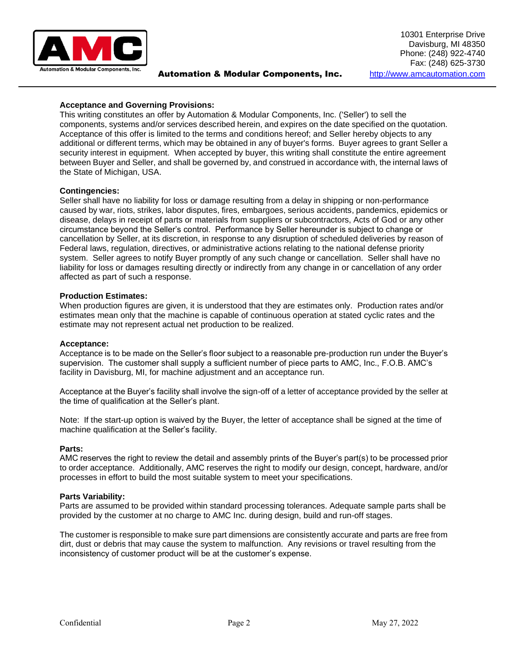

# **Acceptance and Governing Provisions:**

This writing constitutes an offer by Automation & Modular Components, Inc. ('Seller') to sell the components, systems and/or services described herein, and expires on the date specified on the quotation. Acceptance of this offer is limited to the terms and conditions hereof; and Seller hereby objects to any additional or different terms, which may be obtained in any of buyer's forms. Buyer agrees to grant Seller a security interest in equipment. When accepted by buyer, this writing shall constitute the entire agreement between Buyer and Seller, and shall be governed by, and construed in accordance with, the internal laws of the State of Michigan, USA.

# **Contingencies:**

Seller shall have no liability for loss or damage resulting from a delay in shipping or non-performance caused by war, riots, strikes, labor disputes, fires, embargoes, serious accidents, pandemics, epidemics or disease, delays in receipt of parts or materials from suppliers or subcontractors, Acts of God or any other circumstance beyond the Seller's control. Performance by Seller hereunder is subject to change or cancellation by Seller, at its discretion, in response to any disruption of scheduled deliveries by reason of Federal laws, regulation, directives, or administrative actions relating to the national defense priority system. Seller agrees to notify Buyer promptly of any such change or cancellation. Seller shall have no liability for loss or damages resulting directly or indirectly from any change in or cancellation of any order affected as part of such a response.

### **Production Estimates:**

When production figures are given, it is understood that they are estimates only. Production rates and/or estimates mean only that the machine is capable of continuous operation at stated cyclic rates and the estimate may not represent actual net production to be realized.

### **Acceptance:**

Acceptance is to be made on the Seller's floor subject to a reasonable pre-production run under the Buyer's supervision. The customer shall supply a sufficient number of piece parts to AMC, Inc., F.O.B. AMC's facility in Davisburg, MI, for machine adjustment and an acceptance run.

Acceptance at the Buyer's facility shall involve the sign-off of a letter of acceptance provided by the seller at the time of qualification at the Seller's plant.

Note: If the start-up option is waived by the Buyer, the letter of acceptance shall be signed at the time of machine qualification at the Seller's facility.

### **Parts:**

AMC reserves the right to review the detail and assembly prints of the Buyer's part(s) to be processed prior to order acceptance. Additionally, AMC reserves the right to modify our design, concept, hardware, and/or processes in effort to build the most suitable system to meet your specifications.

### **Parts Variability:**

Parts are assumed to be provided within standard processing tolerances. Adequate sample parts shall be provided by the customer at no charge to AMC Inc. during design, build and run-off stages.

The customer is responsible to make sure part dimensions are consistently accurate and parts are free from dirt, dust or debris that may cause the system to malfunction. Any revisions or travel resulting from the inconsistency of customer product will be at the customer's expense.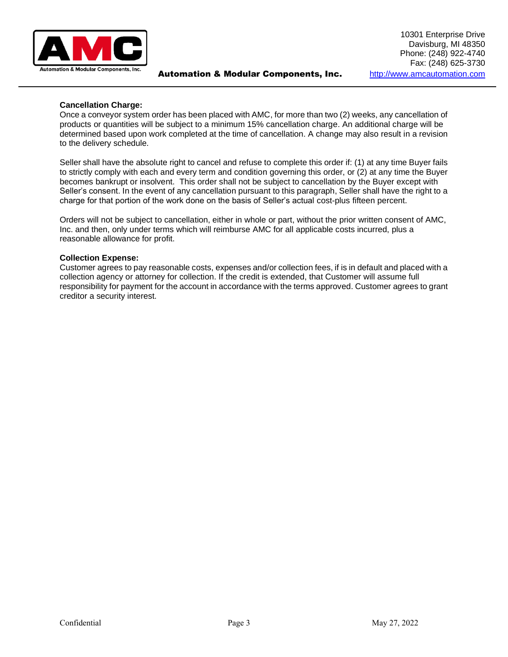

# **Cancellation Charge:**

Once a conveyor system order has been placed with AMC, for more than two (2) weeks, any cancellation of products or quantities will be subject to a minimum 15% cancellation charge. An additional charge will be determined based upon work completed at the time of cancellation. A change may also result in a revision to the delivery schedule.

Seller shall have the absolute right to cancel and refuse to complete this order if: (1) at any time Buyer fails to strictly comply with each and every term and condition governing this order, or (2) at any time the Buyer becomes bankrupt or insolvent. This order shall not be subject to cancellation by the Buyer except with Seller's consent. In the event of any cancellation pursuant to this paragraph, Seller shall have the right to a charge for that portion of the work done on the basis of Seller's actual cost-plus fifteen percent.

Orders will not be subject to cancellation, either in whole or part, without the prior written consent of AMC, Inc. and then, only under terms which will reimburse AMC for all applicable costs incurred, plus a reasonable allowance for profit.

# **Collection Expense:**

Customer agrees to pay reasonable costs, expenses and/or collection fees, if is in default and placed with a collection agency or attorney for collection. If the credit is extended, that Customer will assume full responsibility for payment for the account in accordance with the terms approved. Customer agrees to grant creditor a security interest.